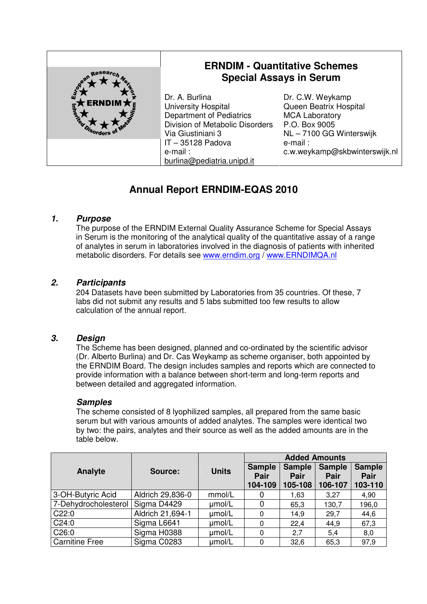| European                              | <b>ERNDIM - Quantitative Schemes</b><br><b>Special Assays in Serum</b>                                                           |                                                                                                                |  |
|---------------------------------------|----------------------------------------------------------------------------------------------------------------------------------|----------------------------------------------------------------------------------------------------------------|--|
| <b>ERNDIM</b> $\bigstar$<br>Inherties | Dr. A. Burlina<br>University Hospital<br><b>Department of Pediatrics</b><br>Division of Metabolic Disorders<br>Via Giustiniani 3 | Dr. C.W. Weykamp<br>Queen Beatrix Hospital<br><b>MCA Laboratory</b><br>P.O. Box 9005<br>NL-7100 GG Winterswijk |  |
|                                       | IT-35128 Padova<br>e-mail:<br>burlina@pediatria.unipd.it                                                                         | e-mail:<br>c.w.weykamp@skbwinterswijk.nl                                                                       |  |

# **Annual Report ERNDIM-EQAS 2010**

## **1. Purpose**

The purpose of the ERNDIM External Quality Assurance Scheme for Special Assays in Serum is the monitoring of the analytical quality of the quantitative assay of a range of analytes in serum in laboratories involved in the diagnosis of patients with inherited metabolic disorders. For details see www.erndim.org / www.ERNDIMQA.nl

#### **2. Participants**

204 Datasets have been submitted by Laboratories from 35 countries. Of these, 7 labs did not submit any results and 5 labs submitted too few results to allow calculation of the annual report.

#### **3. Design**

The Scheme has been designed, planned and co-ordinated by the scientific advisor (Dr. Alberto Burlina) and Dr. Cas Weykamp as scheme organiser, both appointed by the ERNDIM Board. The design includes samples and reports which are connected to provide information with a balance between short-term and long-term reports and between detailed and aggregated information.

#### **Samples**

The scheme consisted of 8 lyophilized samples, all prepared from the same basic serum but with various amounts of added analytes. The samples were identical two by two: the pairs, analytes and their source as well as the added amounts are in the table below.

|                       |                  |              | <b>Added Amounts</b>             |                                  |                                  |                                  |
|-----------------------|------------------|--------------|----------------------------------|----------------------------------|----------------------------------|----------------------------------|
| Analyte               | Source:          | <b>Units</b> | <b>Sample</b><br>Pair<br>104-109 | <b>Sample</b><br>Pair<br>105-108 | <b>Sample</b><br>Pair<br>106-107 | <b>Sample</b><br>Pair<br>103-110 |
| 3-OH-Butyric Acid     | Aldrich 29,836-0 | mmol/L       | 0                                | 1,63                             | 3,27                             | 4,90                             |
| 7-Dehydrocholesterol  | Sigma D4429      | umol/L       |                                  | 65,3                             | 130,7                            | 196,0                            |
| C22:0                 | Aldrich 21,694-1 | umol/L       | $\Omega$                         | 14,9                             | 29,7                             | 44,6                             |
| C24:0                 | Sigma L6641      | umol/L       | $\Omega$                         | 22,4                             | 44,9                             | 67,3                             |
| C26:0                 | Sigma H0388      | umol/L       | $\Omega$                         | 2,7                              | 5,4                              | 8,0                              |
| <b>Carnitine Free</b> | Sigma C0283      | umol/L       | 0                                | 32,6                             | 65,3                             | 97,9                             |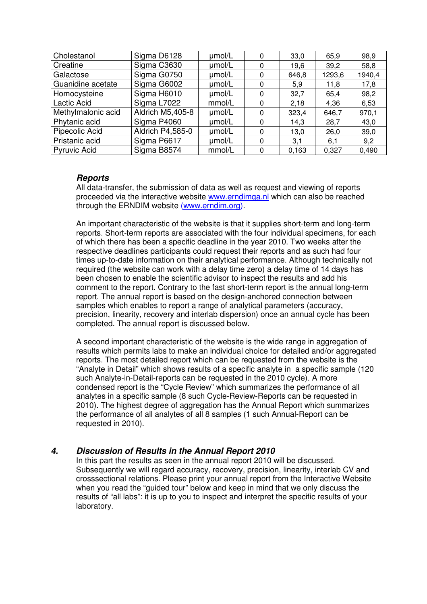| Cholestanol         | Sigma D6128      | umol/L | 0 | 33,0  | 65,9   | 98,9   |
|---------------------|------------------|--------|---|-------|--------|--------|
| Creatine            | Sigma C3630      | umol/L | 0 | 19,6  | 39,2   | 58,8   |
| Galactose           | Sigma G0750      | umol/L | 0 | 646,8 | 1293,6 | 1940,4 |
| Guanidine acetate   | Sigma G6002      | umol/L |   | 5,9   | 11,8   | 17,8   |
| Homocysteine        | Sigma H6010      | µmol/L |   | 32,7  | 65,4   | 98,2   |
| Lactic Acid         | Sigma L7022      | mmol/L | 0 | 2,18  | 4,36   | 6,53   |
| Methylmalonic acid  | Aldrich M5,405-8 | umol/L |   | 323,4 | 646,7  | 970,1  |
| Phytanic acid       | Sigma P4060      | umol/L |   | 14,3  | 28,7   | 43,0   |
| Pipecolic Acid      | Aldrich P4,585-0 | umol/L | 0 | 13,0  | 26,0   | 39,0   |
| Pristanic acid      | Sigma P6617      | umol/L | 0 | 3,1   | 6,1    | 9,2    |
| <b>Pyruvic Acid</b> | Sigma B8574      | mmol/L |   | 0,163 | 0,327  | 0.490  |

## **Reports**

All data-transfer, the submission of data as well as request and viewing of reports proceeded via the interactive website www.erndimqa.nl which can also be reached through the ERNDIM website (www.erndim.org).

An important characteristic of the website is that it supplies short-term and long-term reports. Short-term reports are associated with the four individual specimens, for each of which there has been a specific deadline in the year 2010. Two weeks after the respective deadlines participants could request their reports and as such had four times up-to-date information on their analytical performance. Although technically not required (the website can work with a delay time zero) a delay time of 14 days has been chosen to enable the scientific advisor to inspect the results and add his comment to the report. Contrary to the fast short-term report is the annual long-term report. The annual report is based on the design-anchored connection between samples which enables to report a range of analytical parameters (accuracy, precision, linearity, recovery and interlab dispersion) once an annual cycle has been completed. The annual report is discussed below.

A second important characteristic of the website is the wide range in aggregation of results which permits labs to make an individual choice for detailed and/or aggregated reports. The most detailed report which can be requested from the website is the "Analyte in Detail" which shows results of a specific analyte in a specific sample (120 such Analyte-in-Detail-reports can be requested in the 2010 cycle). A more condensed report is the "Cycle Review" which summarizes the performance of all analytes in a specific sample (8 such Cycle-Review-Reports can be requested in 2010). The highest degree of aggregation has the Annual Report which summarizes the performance of all analytes of all 8 samples (1 such Annual-Report can be requested in 2010).

## **4. Discussion of Results in the Annual Report 2010**

In this part the results as seen in the annual report 2010 will be discussed. Subsequently we will regard accuracy, recovery, precision, linearity, interlab CV and crosssectional relations. Please print your annual report from the Interactive Website when you read the "guided tour" below and keep in mind that we only discuss the results of "all labs": it is up to you to inspect and interpret the specific results of your laboratory.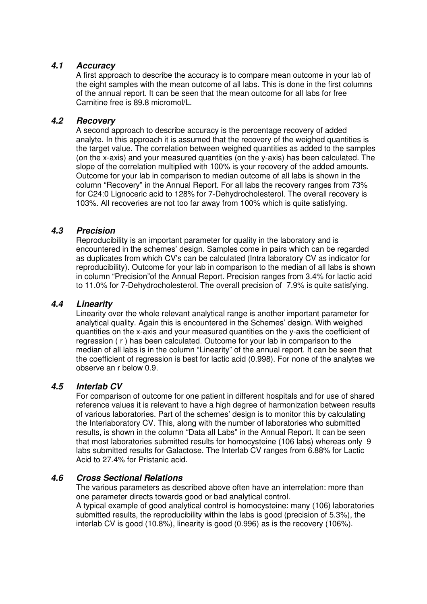#### **4.1 Accuracy**

A first approach to describe the accuracy is to compare mean outcome in your lab of the eight samples with the mean outcome of all labs. This is done in the first columns of the annual report. It can be seen that the mean outcome for all labs for free Carnitine free is 89.8 micromol/L.

#### **4.2 Recovery**

A second approach to describe accuracy is the percentage recovery of added analyte. In this approach it is assumed that the recovery of the weighed quantities is the target value. The correlation between weighed quantities as added to the samples (on the x-axis) and your measured quantities (on the y-axis) has been calculated. The slope of the correlation multiplied with 100% is your recovery of the added amounts. Outcome for your lab in comparison to median outcome of all labs is shown in the column "Recovery" in the Annual Report. For all labs the recovery ranges from 73% for C24:0 Lignoceric acid to 128% for 7-Dehydrocholesterol. The overall recovery is 103%. All recoveries are not too far away from 100% which is quite satisfying.

#### **4.3 Precision**

Reproducibility is an important parameter for quality in the laboratory and is encountered in the schemes' design. Samples come in pairs which can be regarded as duplicates from which CV's can be calculated (Intra laboratory CV as indicator for reproducibility). Outcome for your lab in comparison to the median of all labs is shown in column "Precision"of the Annual Report. Precision ranges from 3.4% for lactic acid to 11.0% for 7-Dehydrocholesterol. The overall precision of 7.9% is quite satisfying.

#### **4.4 Linearity**

Linearity over the whole relevant analytical range is another important parameter for analytical quality. Again this is encountered in the Schemes' design. With weighed quantities on the x-axis and your measured quantities on the y-axis the coefficient of regression ( r ) has been calculated. Outcome for your lab in comparison to the median of all labs is in the column "Linearity" of the annual report. It can be seen that the coefficient of regression is best for lactic acid (0.998). For none of the analytes we observe an r below 0.9.

#### **4.5 Interlab CV**

For comparison of outcome for one patient in different hospitals and for use of shared reference values it is relevant to have a high degree of harmonization between results of various laboratories. Part of the schemes' design is to monitor this by calculating the Interlaboratory CV. This, along with the number of laboratories who submitted results, is shown in the column "Data all Labs" in the Annual Report. It can be seen that most laboratories submitted results for homocysteine (106 labs) whereas only 9 labs submitted results for Galactose. The Interlab CV ranges from 6.88% for Lactic Acid to 27.4% for Pristanic acid.

#### **4.6 Cross Sectional Relations**

The various parameters as described above often have an interrelation: more than one parameter directs towards good or bad analytical control. A typical example of good analytical control is homocysteine: many (106) laboratories submitted results, the reproducibility within the labs is good (precision of 5.3%), the interlab CV is good (10.8%), linearity is good (0.996) as is the recovery (106%).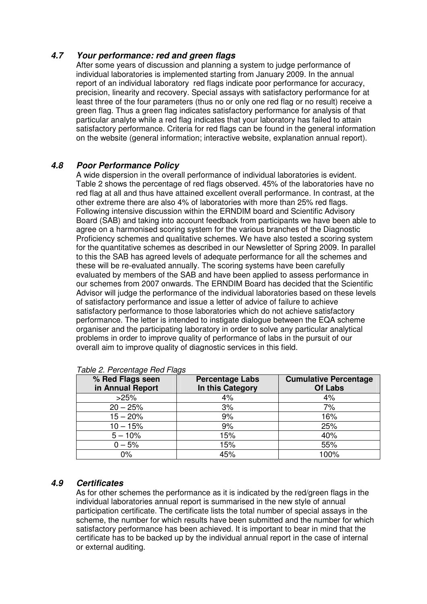# **4.7 Your performance: red and green flags**

After some years of discussion and planning a system to judge performance of individual laboratories is implemented starting from January 2009. In the annual report of an individual laboratory red flags indicate poor performance for accuracy, precision, linearity and recovery. Special assays with satisfactory performance for at least three of the four parameters (thus no or only one red flag or no result) receive a green flag. Thus a green flag indicates satisfactory performance for analysis of that particular analyte while a red flag indicates that your laboratory has failed to attain satisfactory performance. Criteria for red flags can be found in the general information on the website (general information; interactive website, explanation annual report).

# **4.8 Poor Performance Policy**

A wide dispersion in the overall performance of individual laboratories is evident. Table 2 shows the percentage of red flags observed. 45% of the laboratories have no red flag at all and thus have attained excellent overall performance. In contrast, at the other extreme there are also 4% of laboratories with more than 25% red flags. Following intensive discussion within the ERNDIM board and Scientific Advisory Board (SAB) and taking into account feedback from participants we have been able to agree on a harmonised scoring system for the various branches of the Diagnostic Proficiency schemes and qualitative schemes. We have also tested a scoring system for the quantitative schemes as described in our Newsletter of Spring 2009. In parallel to this the SAB has agreed levels of adequate performance for all the schemes and these will be re-evaluated annually. The scoring systems have been carefully evaluated by members of the SAB and have been applied to assess performance in our schemes from 2007 onwards. The ERNDIM Board has decided that the Scientific Advisor will judge the performance of the individual laboratories based on these levels of satisfactory performance and issue a letter of advice of failure to achieve satisfactory performance to those laboratories which do not achieve satisfactory performance. The letter is intended to instigate dialogue between the EQA scheme organiser and the participating laboratory in order to solve any particular analytical problems in order to improve quality of performance of labs in the pursuit of our overall aim to improve quality of diagnostic services in this field.

| % Red Flags seen<br>in Annual Report | <b>Percentage Labs</b><br>In this Category | <b>Cumulative Percentage</b><br><b>Of Labs</b> |
|--------------------------------------|--------------------------------------------|------------------------------------------------|
| >25%                                 | 4%                                         | 4%                                             |
| $20 - 25%$                           | 3%                                         | 7%                                             |
| $15 - 20%$                           | 9%                                         | 16%                                            |
| $10 - 15%$                           | 9%                                         | 25%                                            |
| $5 - 10%$                            | 15%                                        | 40%                                            |
| $0 - 5%$                             | 15%                                        | 55%                                            |
| $0\%$                                | 45%                                        | 100%                                           |

#### Table 2. Percentage Red Flags

## **4.9 Certificates**

As for other schemes the performance as it is indicated by the red/green flags in the individual laboratories annual report is summarised in the new style of annual participation certificate. The certificate lists the total number of special assays in the scheme, the number for which results have been submitted and the number for which satisfactory performance has been achieved. It is important to bear in mind that the certificate has to be backed up by the individual annual report in the case of internal or external auditing.